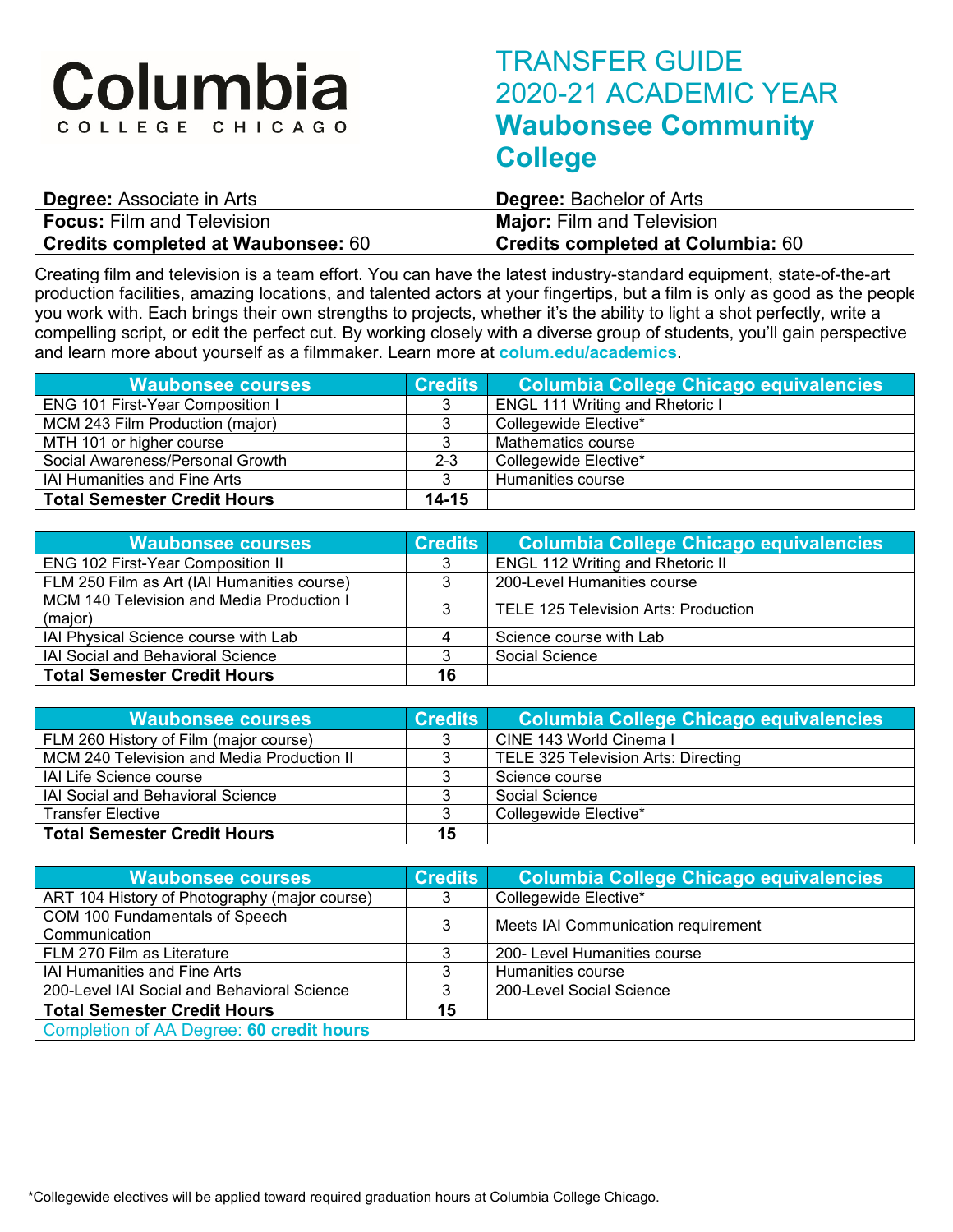# Columbia COLLEGE CHICAGO

## TRANSFER GUIDE 2020-21 ACADEMIC YEAR **Waubonsee Community College**

| <b>Degree: Associate in Arts</b>          | <b>Degree:</b> Bachelor of Arts          |
|-------------------------------------------|------------------------------------------|
| <b>Focus: Film and Television</b>         | <b>Major:</b> Film and Television        |
| <b>Credits completed at Waubonsee: 60</b> | <b>Credits completed at Columbia: 60</b> |

Creating film and television is a team effort. You can have the latest industry-standard equipment, state-of-the-art production facilities, amazing locations, and talented actors at your fingertips, but a film is only as good as the people you work with. Each brings their own strengths to projects, whether it's the ability to light a shot perfectly, write a compelling script, or edit the perfect cut. By working closely with a diverse group of students, you'll gain perspective and learn more about yourself as a filmmaker. Learn more at **colum.edu/academics**.

| <b>Waubonsee courses</b>                | <b>Credits</b> | Columbia College Chicago equivalencies |
|-----------------------------------------|----------------|----------------------------------------|
| <b>ENG 101 First-Year Composition I</b> |                | <b>ENGL 111 Writing and Rhetoric I</b> |
| MCM 243 Film Production (major)         |                | Collegewide Elective*                  |
| MTH 101 or higher course                |                | Mathematics course                     |
| Social Awareness/Personal Growth        | $2 - 3$        | Collegewide Elective*                  |
| <b>IAI Humanities and Fine Arts</b>     |                | Humanities course                      |
| <b>Total Semester Credit Hours</b>      | $14 - 15$      |                                        |

| <b>Waubonsee courses</b>                             | <b>Credits</b> | Columbia College Chicago equivalencies  |
|------------------------------------------------------|----------------|-----------------------------------------|
| <b>ENG 102 First-Year Composition II</b>             |                | <b>ENGL 112 Writing and Rhetoric II</b> |
| FLM 250 Film as Art (IAI Humanities course)          |                | 200-Level Humanities course             |
| MCM 140 Television and Media Production I<br>(major) |                | TELE 125 Television Arts: Production    |
| IAI Physical Science course with Lab                 |                | Science course with Lab                 |
| <b>IAI Social and Behavioral Science</b>             |                | Social Science                          |
| <b>Total Semester Credit Hours</b>                   | 16             |                                         |

| <b>Waubonsee courses</b>                   | <b>Credits</b> | <u>l Columbia College Chicago equivalencies</u> |
|--------------------------------------------|----------------|-------------------------------------------------|
| FLM 260 History of Film (major course)     |                | CINE 143 World Cinema I                         |
| MCM 240 Television and Media Production II |                | TELE 325 Television Arts: Directing             |
| <b>IAI Life Science course</b>             |                | Science course                                  |
| <b>IAI Social and Behavioral Science</b>   |                | Social Science                                  |
| <b>Transfer Elective</b>                   |                | Collegewide Elective*                           |
| <b>Total Semester Credit Hours</b>         | 15             |                                                 |

| <b>Waubonsee courses</b>                        | <b>Credits</b> | <b>Columbia College Chicago equivalencies</b> |
|-------------------------------------------------|----------------|-----------------------------------------------|
| ART 104 History of Photography (major course)   |                | Collegewide Elective*                         |
| COM 100 Fundamentals of Speech<br>Communication | 3              | Meets IAI Communication requirement           |
| FLM 270 Film as Literature                      |                | 200- Level Humanities course                  |
| <b>IAI Humanities and Fine Arts</b>             |                | Humanities course                             |
| 200-Level IAI Social and Behavioral Science     |                | 200-Level Social Science                      |
| <b>Total Semester Credit Hours</b>              | 15             |                                               |
| Completion of AA Degree: 60 credit hours        |                |                                               |